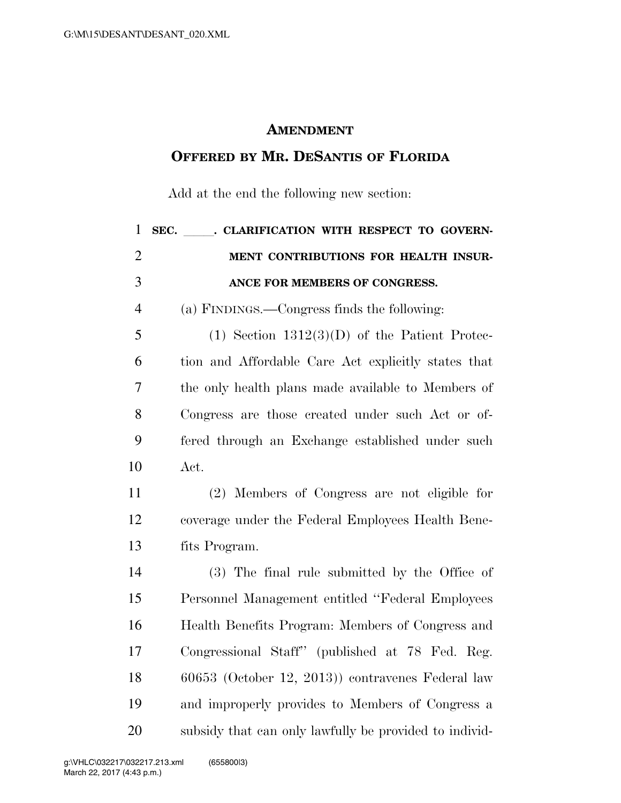## **AMENDMENT**

## **OFFERED BY MR. DESANTIS OF FLORIDA**

Add at the end the following new section:

| $\mathbf{1}$   | SEC. CLARIFICATION WITH RESPECT TO GOVERN-             |
|----------------|--------------------------------------------------------|
| $\overline{2}$ | MENT CONTRIBUTIONS FOR HEALTH INSUR-                   |
| 3              | ANCE FOR MEMBERS OF CONGRESS.                          |
| $\overline{4}$ | (a) FINDINGS.—Congress finds the following:            |
| 5              | $(1)$ Section $1312(3)(D)$ of the Patient Protec-      |
| 6              | tion and Affordable Care Act explicitly states that    |
| 7              | the only health plans made available to Members of     |
| 8              | Congress are those created under such Act or of-       |
| 9              | fered through an Exchange established under such       |
| 10             | Act.                                                   |
| 11             | (2) Members of Congress are not eligible for           |
| 12             | coverage under the Federal Employees Health Bene-      |
| 13             | fits Program.                                          |
| 14             | (3) The final rule submitted by the Office of          |
| 15             | Personnel Management entitled "Federal Employees"      |
| 16             | Health Benefits Program: Members of Congress and       |
| 17             | Congressional Staff" (published at 78 Fed. Reg.        |
| 18             | 60653 (October 12, 2013)) contravenes Federal law      |
| 19             | and improperly provides to Members of Congress a       |
| 20             | subsidy that can only lawfully be provided to individ- |